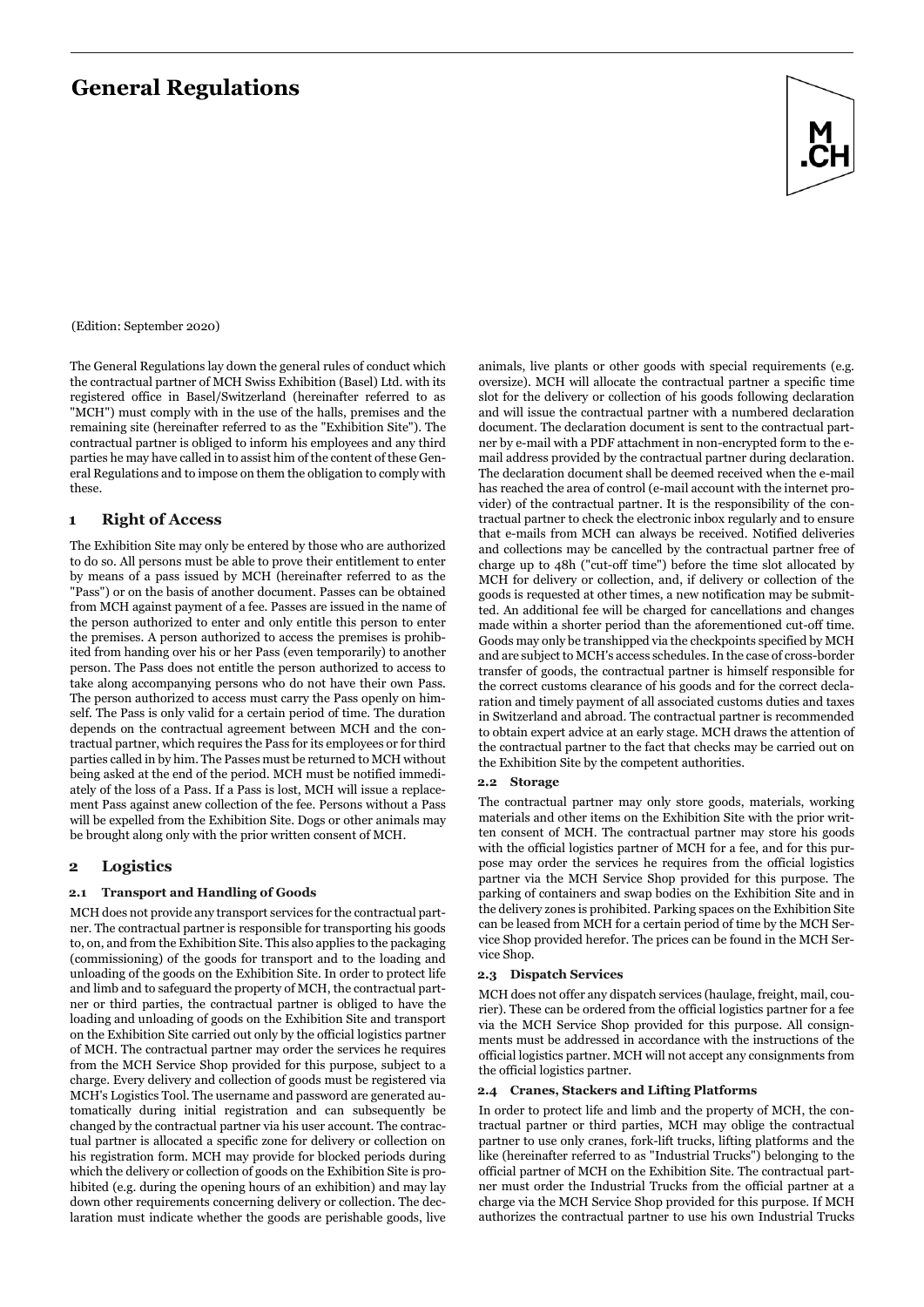# **General Regulations**



(Edition: September 2020)

The General Regulations lay down the general rules of conduct which the contractual partner of MCH Swiss Exhibition (Basel) Ltd. with its registered office in Basel/Switzerland (hereinafter referred to as "MCH") must comply with in the use of the halls, premises and the remaining site (hereinafter referred to as the "Exhibition Site"). The contractual partner is obliged to inform his employees and any third parties he may have called in to assist him of the content of these General Regulations and to impose on them the obligation to comply with these.

## **1 Right of Access**

The Exhibition Site may only be entered by those who are authorized to do so. All persons must be able to prove their entitlement to enter by means of a pass issued by MCH (hereinafter referred to as the "Pass") or on the basis of another document. Passes can be obtained from MCH against payment of a fee. Passes are issued in the name of the person authorized to enter and only entitle this person to enter the premises. A person authorized to access the premises is prohibited from handing over his or her Pass (even temporarily) to another person. The Pass does not entitle the person authorized to access to take along accompanying persons who do not have their own Pass. The person authorized to access must carry the Pass openly on himself. The Pass is only valid for a certain period of time. The duration depends on the contractual agreement between MCH and the contractual partner, which requires the Pass for its employees or for third parties called in by him. The Passes must be returned to MCH without being asked at the end of the period. MCH must be notified immediately of the loss of a Pass. If a Pass is lost, MCH will issue a replacement Pass against anew collection of the fee. Persons without a Pass will be expelled from the Exhibition Site. Dogs or other animals may be brought along only with the prior written consent of MCH.

## **2 Logistics**

#### **2.1 Transport and Handling of Goods**

MCH does not provide any transport services for the contractual partner. The contractual partner is responsible for transporting his goods to, on, and from the Exhibition Site. This also applies to the packaging (commissioning) of the goods for transport and to the loading and unloading of the goods on the Exhibition Site. In order to protect life and limb and to safeguard the property of MCH, the contractual partner or third parties, the contractual partner is obliged to have the loading and unloading of goods on the Exhibition Site and transport on the Exhibition Site carried out only by the official logistics partner of MCH. The contractual partner may order the services he requires from the MCH Service Shop provided for this purpose, subject to a charge. Every delivery and collection of goods must be registered via MCH's Logistics Tool. The username and password are generated automatically during initial registration and can subsequently be changed by the contractual partner via his user account. The contractual partner is allocated a specific zone for delivery or collection on his registration form. MCH may provide for blocked periods during which the delivery or collection of goods on the Exhibition Site is prohibited (e.g. during the opening hours of an exhibition) and may lay down other requirements concerning delivery or collection. The declaration must indicate whether the goods are perishable goods, live animals, live plants or other goods with special requirements (e.g. oversize). MCH will allocate the contractual partner a specific time slot for the delivery or collection of his goods following declaration and will issue the contractual partner with a numbered declaration document. The declaration document is sent to the contractual partner by e-mail with a PDF attachment in non-encrypted form to the email address provided by the contractual partner during declaration. The declaration document shall be deemed received when the e-mail has reached the area of control (e-mail account with the internet provider) of the contractual partner. It is the responsibility of the contractual partner to check the electronic inbox regularly and to ensure that e-mails from MCH can always be received. Notified deliveries and collections may be cancelled by the contractual partner free of charge up to 48h ("cut-off time") before the time slot allocated by MCH for delivery or collection, and, if delivery or collection of the goods is requested at other times, a new notification may be submitted. An additional fee will be charged for cancellations and changes made within a shorter period than the aforementioned cut-off time. Goods may only be transhipped via the checkpoints specified by MCH and are subject to MCH's access schedules. In the case of cross-border transfer of goods, the contractual partner is himself responsible for the correct customs clearance of his goods and for the correct declaration and timely payment of all associated customs duties and taxes in Switzerland and abroad. The contractual partner is recommended to obtain expert advice at an early stage. MCH draws the attention of the contractual partner to the fact that checks may be carried out on the Exhibition Site by the competent authorities.

#### **2.2 Storage**

The contractual partner may only store goods, materials, working materials and other items on the Exhibition Site with the prior written consent of MCH. The contractual partner may store his goods with the official logistics partner of MCH for a fee, and for this purpose may order the services he requires from the official logistics partner via the MCH Service Shop provided for this purpose. The parking of containers and swap bodies on the Exhibition Site and in the delivery zones is prohibited. Parking spaces on the Exhibition Site can be leased from MCH for a certain period of time by the MCH Service Shop provided herefor. The prices can be found in the MCH Service Shop.

#### **2.3 Dispatch Services**

MCH does not offer any dispatch services (haulage, freight, mail, courier). These can be ordered from the official logistics partner for a fee via the MCH Service Shop provided for this purpose. All consignments must be addressed in accordance with the instructions of the official logistics partner. MCH will not accept any consignments from the official logistics partner.

#### **2.4 Cranes, Stackers and Lifting Platforms**

In order to protect life and limb and the property of MCH, the contractual partner or third parties, MCH may oblige the contractual partner to use only cranes, fork-lift trucks, lifting platforms and the like (hereinafter referred to as "Industrial Trucks") belonging to the official partner of MCH on the Exhibition Site. The contractual partner must order the Industrial Trucks from the official partner at a charge via the MCH Service Shop provided for this purpose. If MCH authorizes the contractual partner to use his own Industrial Trucks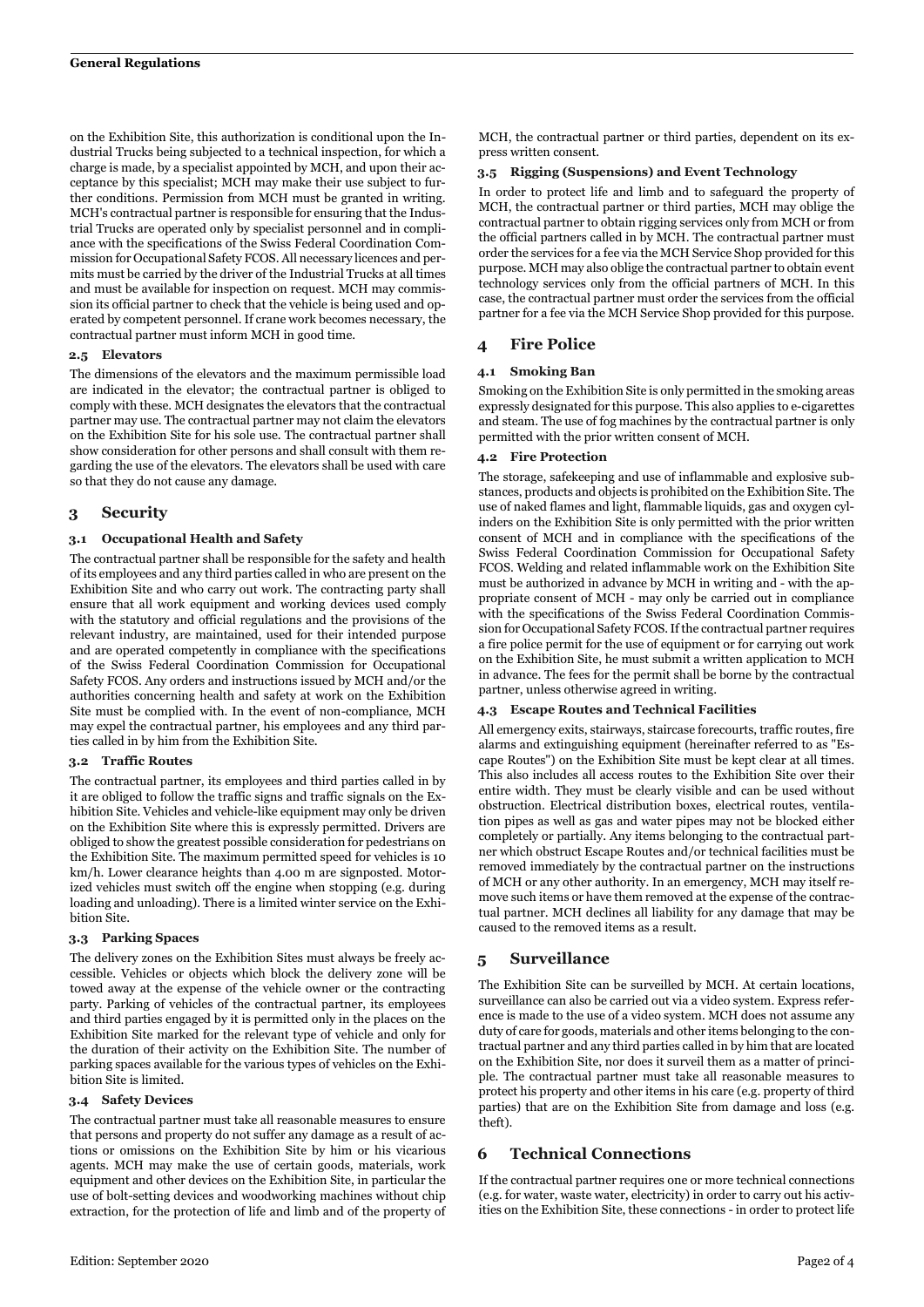on the Exhibition Site, this authorization is conditional upon the Industrial Trucks being subjected to a technical inspection, for which a charge is made, by a specialist appointed by MCH, and upon their acceptance by this specialist; MCH may make their use subject to further conditions. Permission from MCH must be granted in writing. MCH's contractual partner is responsible for ensuring that the Industrial Trucks are operated only by specialist personnel and in compliance with the specifications of the Swiss Federal Coordination Commission for Occupational Safety FCOS. All necessary licences and permits must be carried by the driver of the Industrial Trucks at all times and must be available for inspection on request. MCH may commission its official partner to check that the vehicle is being used and operated by competent personnel. If crane work becomes necessary, the contractual partner must inform MCH in good time.

#### **2.5 Elevators**

The dimensions of the elevators and the maximum permissible load are indicated in the elevator; the contractual partner is obliged to comply with these. MCH designates the elevators that the contractual partner may use. The contractual partner may not claim the elevators on the Exhibition Site for his sole use. The contractual partner shall show consideration for other persons and shall consult with them regarding the use of the elevators. The elevators shall be used with care so that they do not cause any damage.

## **3 Security**

## **3.1 Occupational Health and Safety**

The contractual partner shall be responsible for the safety and health of its employees and any third parties called in who are present on the Exhibition Site and who carry out work. The contracting party shall ensure that all work equipment and working devices used comply with the statutory and official regulations and the provisions of the relevant industry, are maintained, used for their intended purpose and are operated competently in compliance with the specifications of the Swiss Federal Coordination Commission for Occupational Safety FCOS. Any orders and instructions issued by MCH and/or the authorities concerning health and safety at work on the Exhibition Site must be complied with. In the event of non-compliance, MCH may expel the contractual partner, his employees and any third parties called in by him from the Exhibition Site.

#### **3.2 Traffic Routes**

The contractual partner, its employees and third parties called in by it are obliged to follow the traffic signs and traffic signals on the Exhibition Site. Vehicles and vehicle-like equipment may only be driven on the Exhibition Site where this is expressly permitted. Drivers are obliged to show the greatest possible consideration for pedestrians on the Exhibition Site. The maximum permitted speed for vehicles is 10 km/h. Lower clearance heights than 4.00 m are signposted. Motorized vehicles must switch off the engine when stopping (e.g. during loading and unloading). There is a limited winter service on the Exhibition Site.

#### **3.3 Parking Spaces**

The delivery zones on the Exhibition Sites must always be freely accessible. Vehicles or objects which block the delivery zone will be towed away at the expense of the vehicle owner or the contracting party. Parking of vehicles of the contractual partner, its employees and third parties engaged by it is permitted only in the places on the Exhibition Site marked for the relevant type of vehicle and only for the duration of their activity on the Exhibition Site. The number of parking spaces available for the various types of vehicles on the Exhibition Site is limited.

#### **3.4 Safety Devices**

The contractual partner must take all reasonable measures to ensure that persons and property do not suffer any damage as a result of actions or omissions on the Exhibition Site by him or his vicarious agents. MCH may make the use of certain goods, materials, work equipment and other devices on the Exhibition Site, in particular the use of bolt-setting devices and woodworking machines without chip extraction, for the protection of life and limb and of the property of

MCH, the contractual partner or third parties, dependent on its express written consent.

#### **3.5 Rigging (Suspensions) and Event Technology**

In order to protect life and limb and to safeguard the property of MCH, the contractual partner or third parties, MCH may oblige the contractual partner to obtain rigging services only from MCH or from the official partners called in by MCH. The contractual partner must order the services for a fee via the MCH Service Shop provided for this purpose. MCH may also oblige the contractual partner to obtain event technology services only from the official partners of MCH. In this case, the contractual partner must order the services from the official partner for a fee via the MCH Service Shop provided for this purpose.

## **4 Fire Police**

## **4.1 Smoking Ban**

Smoking on the Exhibition Site is only permitted in the smoking areas expressly designated for this purpose. This also applies to e-cigarettes and steam. The use of fog machines by the contractual partner is only permitted with the prior written consent of MCH.

## **4.2 Fire Protection**

The storage, safekeeping and use of inflammable and explosive substances, products and objects is prohibited on the Exhibition Site. The use of naked flames and light, flammable liquids, gas and oxygen cylinders on the Exhibition Site is only permitted with the prior written consent of MCH and in compliance with the specifications of the Swiss Federal Coordination Commission for Occupational Safety FCOS. Welding and related inflammable work on the Exhibition Site must be authorized in advance by MCH in writing and - with the appropriate consent of MCH - may only be carried out in compliance with the specifications of the Swiss Federal Coordination Commission for Occupational Safety FCOS. If the contractual partner requires a fire police permit for the use of equipment or for carrying out work on the Exhibition Site, he must submit a written application to MCH in advance. The fees for the permit shall be borne by the contractual partner, unless otherwise agreed in writing.

#### **4.3 Escape Routes and Technical Facilities**

All emergency exits, stairways, staircase forecourts, traffic routes, fire alarms and extinguishing equipment (hereinafter referred to as "Escape Routes") on the Exhibition Site must be kept clear at all times. This also includes all access routes to the Exhibition Site over their entire width. They must be clearly visible and can be used without obstruction. Electrical distribution boxes, electrical routes, ventilation pipes as well as gas and water pipes may not be blocked either completely or partially. Any items belonging to the contractual partner which obstruct Escape Routes and/or technical facilities must be removed immediately by the contractual partner on the instructions of MCH or any other authority. In an emergency, MCH may itself remove such items or have them removed at the expense of the contractual partner. MCH declines all liability for any damage that may be caused to the removed items as a result.

## **5 Surveillance**

The Exhibition Site can be surveilled by MCH. At certain locations, surveillance can also be carried out via a video system. Express reference is made to the use of a video system. MCH does not assume any duty of care for goods, materials and other items belonging to the contractual partner and any third parties called in by him that are located on the Exhibition Site, nor does it surveil them as a matter of principle. The contractual partner must take all reasonable measures to protect his property and other items in his care (e.g. property of third parties) that are on the Exhibition Site from damage and loss (e.g. theft).

## **6 Technical Connections**

If the contractual partner requires one or more technical connections (e.g. for water, waste water, electricity) in order to carry out his activities on the Exhibition Site, these connections - in order to protect life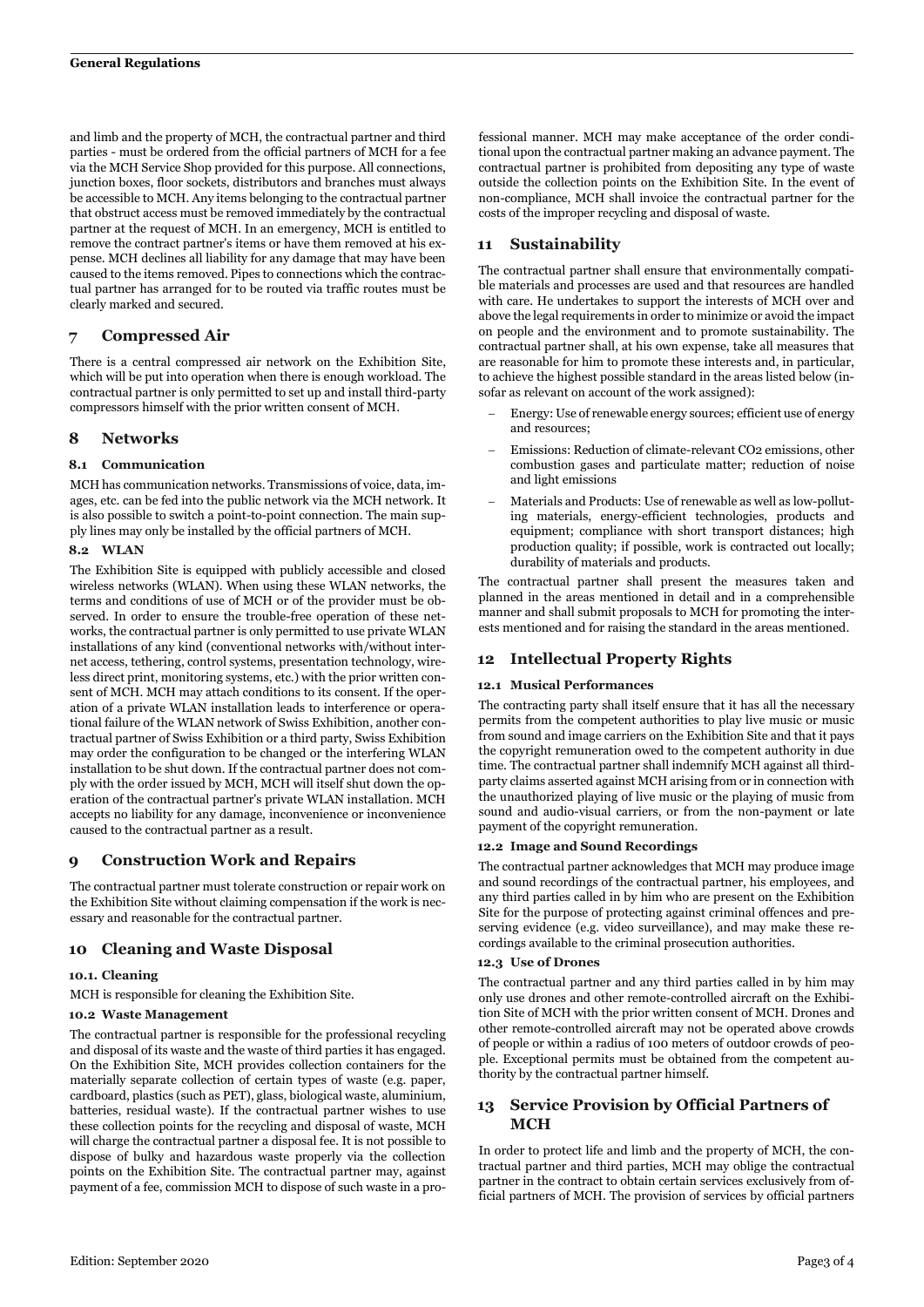and limb and the property of MCH, the contractual partner and third parties - must be ordered from the official partners of MCH for a fee via the MCH Service Shop provided for this purpose. All connections, junction boxes, floor sockets, distributors and branches must always be accessible to MCH. Any items belonging to the contractual partner that obstruct access must be removed immediately by the contractual partner at the request of MCH. In an emergency, MCH is entitled to remove the contract partner's items or have them removed at his expense. MCH declines all liability for any damage that may have been caused to the items removed. Pipes to connections which the contractual partner has arranged for to be routed via traffic routes must be clearly marked and secured.

## **7 Compressed Air**

There is a central compressed air network on the Exhibition Site, which will be put into operation when there is enough workload. The contractual partner is only permitted to set up and install third-party compressors himself with the prior written consent of MCH.

## **8 Networks**

## **8.1 Communication**

MCH has communication networks. Transmissions of voice, data, images, etc. can be fed into the public network via the MCH network. It is also possible to switch a point-to-point connection. The main supply lines may only be installed by the official partners of MCH.

## **8.2 WLAN**

The Exhibition Site is equipped with publicly accessible and closed wireless networks (WLAN). When using these WLAN networks, the terms and conditions of use of MCH or of the provider must be observed. In order to ensure the trouble-free operation of these networks, the contractual partner is only permitted to use private WLAN installations of any kind (conventional networks with/without internet access, tethering, control systems, presentation technology, wireless direct print, monitoring systems, etc.) with the prior written consent of MCH. MCH may attach conditions to its consent. If the operation of a private WLAN installation leads to interference or operational failure of the WLAN network of Swiss Exhibition, another contractual partner of Swiss Exhibition or a third party, Swiss Exhibition may order the configuration to be changed or the interfering WLAN installation to be shut down. If the contractual partner does not comply with the order issued by MCH, MCH will itself shut down the operation of the contractual partner's private WLAN installation. MCH accepts no liability for any damage, inconvenience or inconvenience caused to the contractual partner as a result.

## **9 Construction Work and Repairs**

The contractual partner must tolerate construction or repair work on the Exhibition Site without claiming compensation if the work is necessary and reasonable for the contractual partner.

## **10 Cleaning and Waste Disposal**

#### **10.1. Cleaning**

MCH is responsible for cleaning the Exhibition Site.

## **10.2 Waste Management**

The contractual partner is responsible for the professional recycling and disposal of its waste and the waste of third parties it has engaged. On the Exhibition Site, MCH provides collection containers for the materially separate collection of certain types of waste (e.g. paper, cardboard, plastics (such as PET), glass, biological waste, aluminium, batteries, residual waste). If the contractual partner wishes to use these collection points for the recycling and disposal of waste, MCH will charge the contractual partner a disposal fee. It is not possible to dispose of bulky and hazardous waste properly via the collection points on the Exhibition Site. The contractual partner may, against payment of a fee, commission MCH to dispose of such waste in a professional manner. MCH may make acceptance of the order conditional upon the contractual partner making an advance payment. The contractual partner is prohibited from depositing any type of waste outside the collection points on the Exhibition Site. In the event of non-compliance, MCH shall invoice the contractual partner for the costs of the improper recycling and disposal of waste.

## **11 Sustainability**

The contractual partner shall ensure that environmentally compatible materials and processes are used and that resources are handled with care. He undertakes to support the interests of MCH over and above the legal requirements in order to minimize or avoid the impact on people and the environment and to promote sustainability. The contractual partner shall, at his own expense, take all measures that are reasonable for him to promote these interests and, in particular, to achieve the highest possible standard in the areas listed below (insofar as relevant on account of the work assigned):

- Energy: Use of renewable energy sources; efficient use of energy and resources;
- Emissions: Reduction of climate-relevant CO2 emissions, other combustion gases and particulate matter; reduction of noise and light emissions
- − Materials and Products: Use of renewable as well as low-polluting materials, energy-efficient technologies, products and equipment; compliance with short transport distances; high production quality; if possible, work is contracted out locally; durability of materials and products.

The contractual partner shall present the measures taken and planned in the areas mentioned in detail and in a comprehensible manner and shall submit proposals to MCH for promoting the interests mentioned and for raising the standard in the areas mentioned.

# **12 Intellectual Property Rights**

#### **12.1 Musical Performances**

The contracting party shall itself ensure that it has all the necessary permits from the competent authorities to play live music or music from sound and image carriers on the Exhibition Site and that it pays the copyright remuneration owed to the competent authority in due time. The contractual partner shall indemnify MCH against all thirdparty claims asserted against MCH arising from or in connection with the unauthorized playing of live music or the playing of music from sound and audio-visual carriers, or from the non-payment or late payment of the copyright remuneration.

#### **12.2 Image and Sound Recordings**

The contractual partner acknowledges that MCH may produce image and sound recordings of the contractual partner, his employees, and any third parties called in by him who are present on the Exhibition Site for the purpose of protecting against criminal offences and preserving evidence (e.g. video surveillance), and may make these recordings available to the criminal prosecution authorities.

#### **12.3 Use of Drones**

The contractual partner and any third parties called in by him may only use drones and other remote-controlled aircraft on the Exhibition Site of MCH with the prior written consent of MCH. Drones and other remote-controlled aircraft may not be operated above crowds of people or within a radius of 100 meters of outdoor crowds of people. Exceptional permits must be obtained from the competent authority by the contractual partner himself.

# **13 Service Provision by Official Partners of MCH**

In order to protect life and limb and the property of MCH, the contractual partner and third parties, MCH may oblige the contractual partner in the contract to obtain certain services exclusively from official partners of MCH. The provision of services by official partners